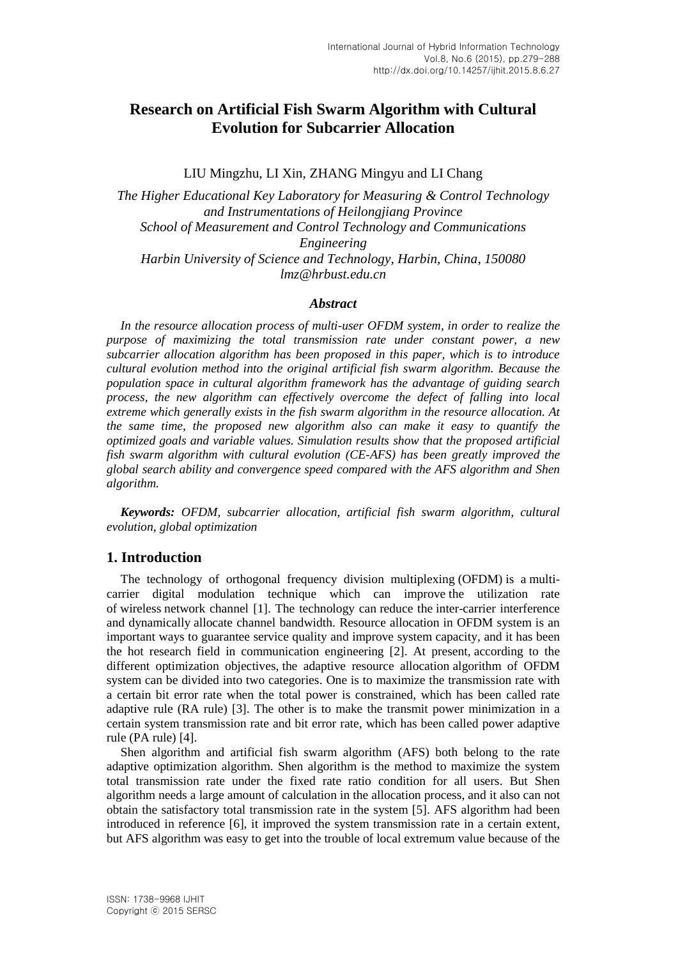# **Research on Artificial Fish Swarm Algorithm with Cultural Evolution for Subcarrier Allocation**

LIU Mingzhu, LI Xin, ZHANG Mingyu and LI Chang

*The Higher Educational Key Laboratory for Measuring & Control Technology and Instrumentations of Heilongjiang Province School of Measurement and Control Technology and Communications Engineering Harbin University of Science and Technology, Harbin, China, 150080 lmz@hrbust.edu.cn*

#### *Abstract*

*In the resource allocation process of multi-user OFDM system, in order to realize the purpose of maximizing the total transmission rate under constant power, a new subcarrier allocation algorithm has been proposed in this paper, which is to introduce cultural evolution method into the original artificial fish swarm algorithm. Because the population space in cultural algorithm framework has the advantage of guiding search process, the new algorithm can effectively overcome the defect of falling into local extreme which generally exists in the fish swarm algorithm in the resource allocation. At the same time, the proposed new algorithm also can make it easy to quantify the optimized goals and variable values. Simulation results show that the proposed artificial fish swarm algorithm with cultural evolution (CE-AFS) has been greatly improved the global search ability and convergence speed compared with the AFS algorithm and Shen algorithm.*

*Keywords: OFDM*, *subcarrier allocation, artificial fish swarm algorithm, cultural evolution*, *global optimization*

# **1. Introduction**

The technology of orthogonal frequency division multiplexing (OFDM) is a multicarrier digital modulation technique which can improve the utilization rate of wireless network channel [1]. The technology can reduce the inter-carrier interference and dynamically allocate channel bandwidth. Resource allocation in OFDM system is an important ways to guarantee service quality and improve system capacity, and it has been the hot research field in communication engineering [2]. At present, according to the different optimization objectives, the adaptive resource allocation algorithm of OFDM system can be divided into two categories. One is to maximize the transmission rate with a certain bit error rate when the total power is constrained, which has been called rate adaptive rule (RA rule) [3]. The other is to make the transmit power minimization in a certain system transmission rate and bit error rate, which has been called power adaptive rule (PA rule) [4].

Shen algorithm and artificial fish swarm algorithm (AFS) both belong to the rate adaptive optimization algorithm. Shen algorithm is the method to maximize the system total transmission rate under the fixed rate ratio condition for all users. But Shen algorithm needs a large amount of calculation in the allocation process, and it also can not obtain the satisfactory total transmission rate in the system [5]. AFS algorithm had been introduced in reference [6], it improved the system transmission rate in a certain extent, but AFS algorithm was easy to get into the trouble of local extremum value because of the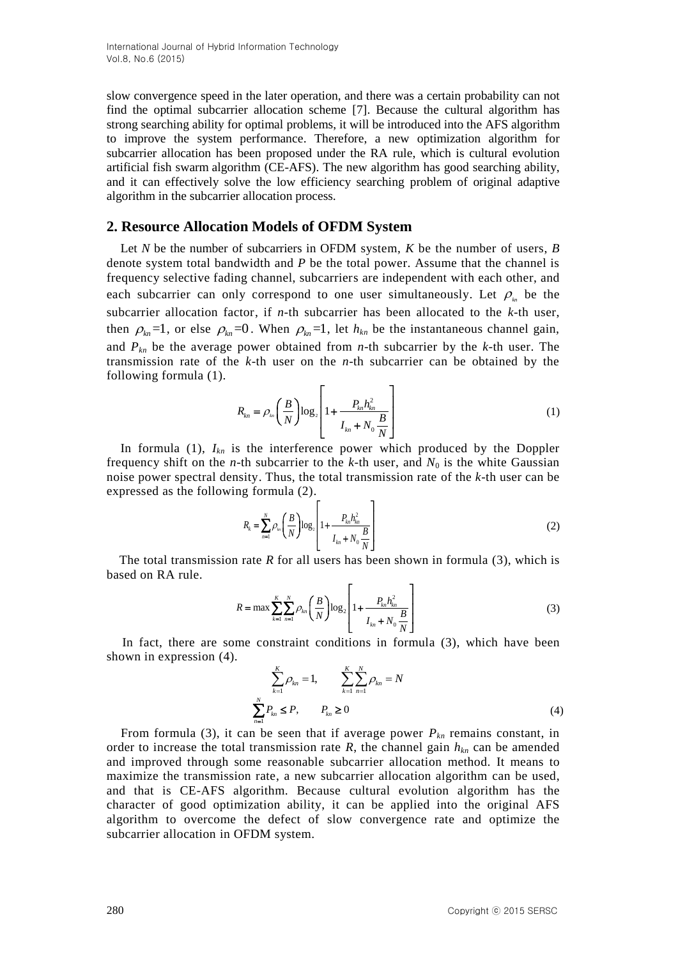slow convergence speed in the later operation, and there was a certain probability can not find the optimal subcarrier allocation scheme [7]. Because the cultural algorithm has strong searching ability for optimal problems, it will be introduced into the AFS algorithm to improve the system performance. Therefore, a new optimization algorithm for subcarrier allocation has been proposed under the RA rule, which is cultural evolution artificial fish swarm algorithm (CE-AFS). The new algorithm has good searching ability, and it can effectively solve the low efficiency searching problem of original adaptive algorithm in the subcarrier allocation process.

#### **2. Resource Allocation Models of OFDM System**

Let *N* be the number of subcarriers in OFDM system, *K* be the number of users, *B* denote system total bandwidth and *P* be the total power. Assume that the channel is frequency selective fading channel, subcarriers are independent with each other, and each subcarrier can only correspond to one user simultaneously. Let  $\rho_{\mu}$  be the subcarrier allocation factor, if *n-*th subcarrier has been allocated to the *k-*th user, then  $\rho_{kn} = 1$ , or else  $\rho_{kn} = 0$ . When  $\rho_{kn} = 1$ , let  $h_{kn}$  be the instantaneous channel gain, and  $P_{kn}$  be the average power obtained from *n*-th subcarrier by the *k*-th user. The transmission rate of the *k*-th user on the *n*-th subcarrier can be obtained by the following formula (1).

$$
R_{kn} = \rho_{kn} \left( \frac{B}{N} \right) \log_2 \left[ 1 + \frac{P_{kn} h_{kn}^2}{I_{kn} + N_0 \frac{B}{N}} \right]
$$
 (1)

In formula (1),  $I_{kn}$  is the interference power which produced by the Doppler frequency shift on the *n*-th subcarrier to the *k*-th user, and  $N_0$  is the white Gaussian noise power spectral density. Thus, the total transmission rate of the *k*-th user can be expressed as the following formula (2).

$$
R_{k} = \sum_{n=1}^{N} \rho_{\ln} \left( \frac{B}{N} \right) \log_{2} \left[ 1 + \frac{P_{kn} h_{kn}^{2}}{I_{kn} + N_0 \frac{B}{N}} \right]
$$
(2)

The total transmission rate *R* for all users has been shown in formula (3), which is based on RA rule.  $\begin{bmatrix} 1 & 1 \\ 0 & 1 \end{bmatrix}$ 

$$
R = \max \sum_{k=1}^{K} \sum_{n=1}^{N} \rho_{kn} \left( \frac{B}{N} \right) \log_2 \left[ 1 + \frac{P_{kn} h_{kn}^2}{I_{kn} + N_0 \frac{B}{N}} \right]
$$
(3)

 In fact, there are some constraint conditions in formula (3), which have been shown in expression (4).

$$
\sum_{k=1}^{K} \rho_{kn} = 1, \qquad \sum_{k=1}^{K} \sum_{n=1}^{N} \rho_{kn} = N
$$
\n
$$
\sum_{n=1}^{N} P_{kn} \le P, \qquad P_{kn} \ge 0
$$
\n(4)

From formula (3), it can be seen that if average power  $P_{kn}$  remains constant, in order to increase the total transmission rate  $R$ , the channel gain  $h_{kn}$  can be amended and improved through some reasonable subcarrier allocation method. It means to maximize the transmission rate, a new subcarrier allocation algorithm can be used, and that is CE-AFS algorithm. Because cultural evolution algorithm has the character of good optimization ability, it can be applied into the original AFS algorithm to overcome the defect of slow convergence rate and optimize the subcarrier allocation in OFDM system.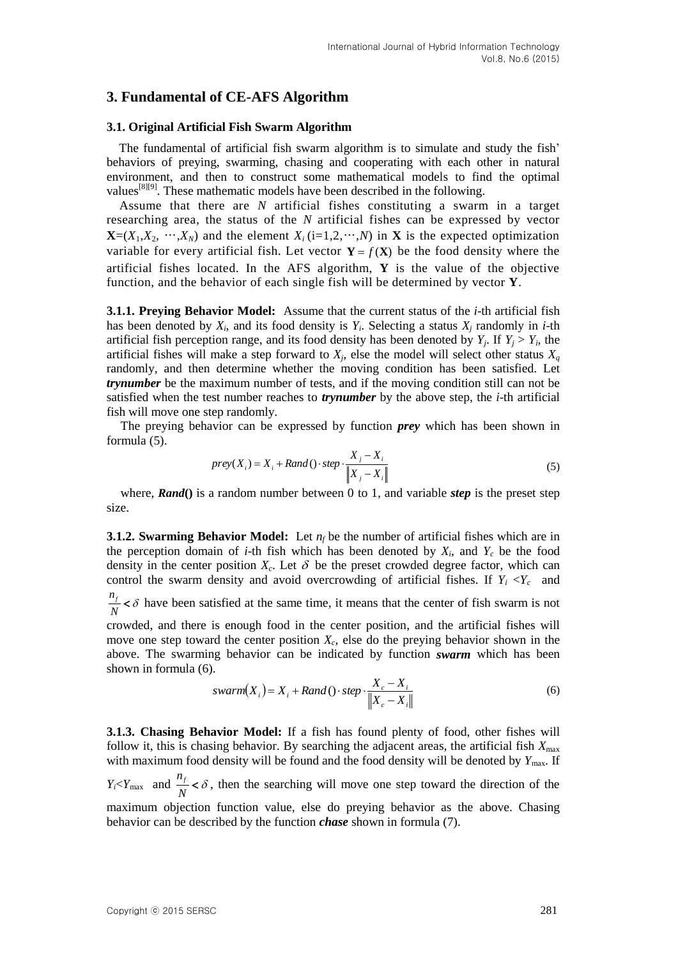# **3. Fundamental of CE-AFS Algorithm**

#### **3.1. Original Artificial Fish Swarm Algorithm**

The fundamental of artificial fish swarm algorithm is to simulate and study the fish' behaviors of preying, swarming, chasing and cooperating with each other in natural environment, and then to construct some mathematical models to find the optimal values<sup>[8][9]</sup>. These mathematic models have been described in the following.

Assume that there are *N* artificial fishes constituting a swarm in a target researching area, the status of the *N* artificial fishes can be expressed by vector  $\mathbf{X}=(X_1,X_2,\dots,X_N)$  and the element  $X_i$  (i=1,2,…,*N*) in **X** is the expected optimization variable for every artificial fish. Let vector  $Y = f(X)$  be the food density where the artificial fishes located. In the AFS algorithm, **Y** is the value of the objective function, and the behavior of each single fish will be determined by vector **Y**.

**3.1.1. Preying Behavior Model:** Assume that the current status of the *i*-th artificial fish has been denoted by  $X_i$ , and its food density is  $Y_i$ . Selecting a status  $X_j$  randomly in *i*-th artificial fish perception range, and its food density has been denoted by  $Y_j$ . If  $Y_j > Y_i$ , the artificial fishes will make a step forward to  $X_j$ , else the model will select other status  $X_q$ randomly, and then determine whether the moving condition has been satisfied. Let *trynumber* be the maximum number of tests, and if the moving condition still can not be satisfied when the test number reaches to *trynumber* by the above step, the *i*-th artificial fish will move one step randomly.

The preying behavior can be expressed by function *prey* which has been shown in formula (5).

$$
prey(X_i) = X_i + Rand() \cdot step \cdot \frac{X_j - X_i}{\|X_j - X_i\|} \tag{5}
$$

where, *Rand***()** is a random number between 0 to 1, and variable *step* is the preset step size.

**3.1.2. Swarming Behavior Model:** Let  $n_f$  be the number of artificial fishes which are in the perception domain of *i*-th fish which has been denoted by  $X_i$ , and  $Y_c$  be the food density in the center position  $X_c$ . Let  $\delta$  be the preset crowded degree factor, which can control the swarm density and avoid overcrowding of artificial fishes. If  $Y_i \leq Y_c$  and  $n_f$  $\frac{f_f}{N} < \delta$  have been satisfied at the same time, it means that the center of fish swarm is not crowded, and there is enough food in the center position, and the artificial fishes will

move one step toward the center position *Xc*, else do the preying behavior shown in the above. The swarming behavior can be indicated by function *swarm* which has been shown in formula (6).

$$
swarm(X_i) = X_i + Rand() \cdot step \cdot \frac{X_c - X_i}{\|X_c - X_i\|}
$$
\n
$$
(6)
$$

**3.1.3. Chasing Behavior Model:** If a fish has found plenty of food, other fishes will follow it, this is chasing behavior. By searching the adjacent areas, the artificial fish  $X_{\text{max}}$ with maximum food density will be found and the food density will be denoted by  $Y_{\text{max}}$ . If

 $Y_i < Y_{\text{max}}$  and  $\frac{n_f}{N}$ *N*  $\langle \delta \rangle$ , then the searching will move one step toward the direction of the

maximum objection function value, else do preying behavior as the above. Chasing behavior can be described by the function *chase* shown in formula (7).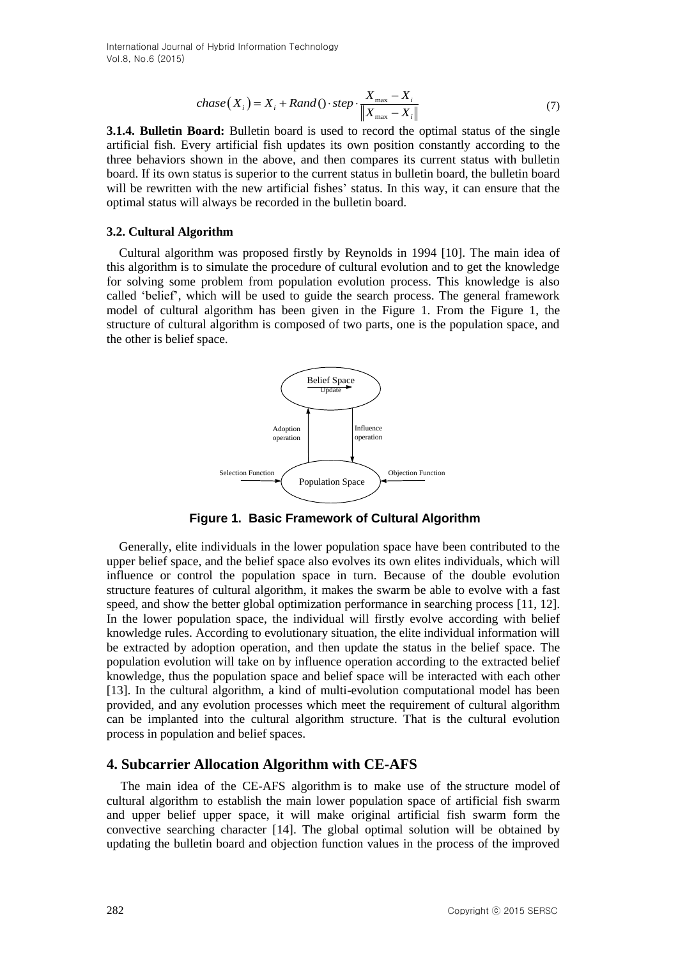$$
chase(X_i) = X_i + Rand() \cdot step \cdot \frac{X_{\text{max}} - X_i}{\left\| X_{\text{max}} - X_i \right\|} \tag{7}
$$

**3.1.4. Bulletin Board:** Bulletin board is used to record the optimal status of the single artificial fish. Every artificial fish updates its own position constantly according to the three behaviors shown in the above, and then compares its current status with bulletin board. If its own status is superior to the current status in bulletin board, the bulletin board will be rewritten with the new artificial fishes' status. In this way, it can ensure that the optimal status will always be recorded in the bulletin board.

#### **3.2. Cultural Algorithm**

Cultural algorithm was proposed firstly by Reynolds in 1994 [10]. The main idea of this algorithm is to simulate the procedure of cultural evolution and to get the knowledge for solving some problem from population evolution process. This knowledge is also called 'belief', which will be used to guide the search process. The general framework model of cultural algorithm has been given in the Figure 1. From the Figure 1, the structure of cultural algorithm is composed of two parts, one is the population space, and the other is belief space.



**Figure 1. Basic Framework of Cultural Algorithm**

28.1.4. Bulletin beach ( $x_1 = kx_2 + h\omega u/c$ )  $\omega v = \frac{1}{(1 + k)^2}$ <br>
3.1.4. Bulletin beach Libristic bostol use of the optimal states of the optimal<br>
and Bulletin bostol is used to record the optimal states of the optimal<br>
and t Generally, elite individuals in the lower population space have been contributed to the upper belief space, and the belief space also evolves its own elites individuals, which will influence or control the population space in turn. Because of the double evolution structure features of cultural algorithm, it makes the swarm be able to evolve with a fast speed, and show the better global optimization performance in searching process [11, 12]. In the lower population space, the individual will firstly evolve according with belief knowledge rules. According to evolutionary situation, the elite individual information will be extracted by adoption operation, and then update the status in the belief space. The population evolution will take on by influence operation according to the extracted belief knowledge, thus the population space and belief space will be interacted with each other [13]. In the cultural algorithm, a kind of multi-evolution computational model has been provided, and any evolution processes which meet the requirement of cultural algorithm can be implanted into the cultural algorithm structure. That is the cultural evolution process in population and belief spaces.

### **4. Subcarrier Allocation Algorithm with CE-AFS**

The main idea of the CE-AFS algorithm is to make use of the structure model of cultural algorithm to establish the main lower population space of artificial fish swarm and upper belief upper space, it will make original artificial fish swarm form the convective searching character [14]. The global optimal solution will be obtained by updating the bulletin board and objection function values in the process of the improved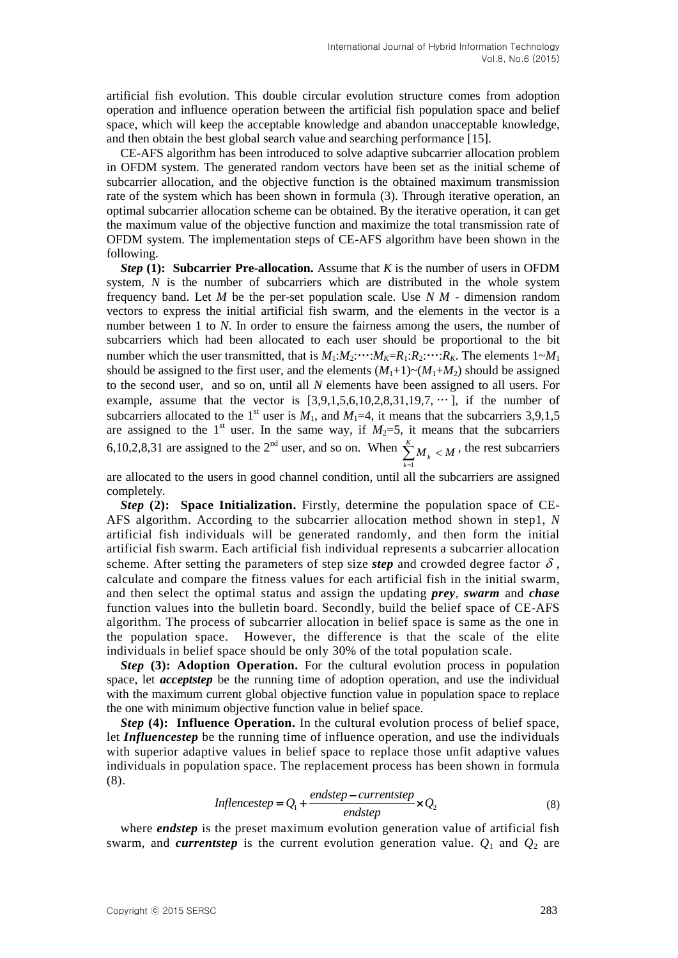artificial fish evolution. This double circular evolution structure comes from adoption operation and influence operation between the artificial fish population space and belief space, which will keep the acceptable knowledge and abandon unacceptable knowledge, and then obtain the best global search value and searching performance [15].

CE-AFS algorithm has been introduced to solve adaptive subcarrier allocation problem in OFDM system. The generated random vectors have been set as the initial scheme of subcarrier allocation, and the objective function is the obtained maximum transmission rate of the system which has been shown in formula (3). Through iterative operation, an optimal subcarrier allocation scheme can be obtained. By the iterative operation, it can get the maximum value of the objective function and maximize the total transmission rate of OFDM system. The implementation steps of CE-AFS algorithm have been shown in the following.

*Step* **(1): Subcarrier Pre-allocation.** Assume that *K* is the number of users in OFDM system, *N* is the number of subcarriers which are distributed in the whole system frequency band. Let *M* be the per-set population scale. Use *N M* - dimension random vectors to express the initial artificial fish swarm, and the elements in the vector is a number between 1 to *N*. In order to ensure the fairness among the users, the number of subcarriers which had been allocated to each user should be proportional to the bit number which the user transmitted, that is  $M_1: M_2: \cdots: M_K = R_1: R_2: \cdots: R_K$ . The elements  $1 \sim M_1$ should be assigned to the first user, and the elements  $(M_1+1) \sim (M_1+M_2)$  should be assigned to the second user, and so on, until all *N* elements have been assigned to all users. For example, assume that the vector is  $[3,9,1,5,6,10,2,8,31,19,7, \cdots]$ , if the number of subcarriers allocated to the 1<sup>st</sup> user is  $M_1$ , and  $M_1=4$ , it means that the subcarriers 3,9,1,5 are assigned to the 1<sup>st</sup> user. In the same way, if  $M_2=5$ , it means that the subcarriers 6,10,2,8,31 are assigned to the 2<sup>nd</sup> user, and so on. When  $\sum_{i=1}^{K} M_i < M$  $\sum_{k=1}^{\infty} M_k <$ , the rest subcarriers

are allocated to the users in good channel condition, until all the subcarriers are assigned completely.

*Step* **(2): Space Initialization.** Firstly, determine the population space of CE-AFS algorithm. According to the subcarrier allocation method shown in step1, *N* artificial fish individuals will be generated randomly, and then form the initial artificial fish swarm. Each artificial fish individual represents a subcarrier allocation scheme. After setting the parameters of step size *step* and crowded degree factor  $\delta$ , calculate and compare the fitness values for each artificial fish in the initial swarm, and then select the optimal status and assign the updating *prey*, *swarm* and *chase* function values into the bulletin board. Secondly, build the belief space of CE-AFS algorithm. The process of subcarrier allocation in belief space is same as the one in the population space. However, the difference is that the scale of the elite individuals in belief space should be only 30% of the total population scale.

*Step* **(3): Adoption Operation.** For the cultural evolution process in population space, let *acceptstep* be the running time of adoption operation, and use the individual with the maximum current global objective function value in population space to replace the one with minimum objective function value in belief space.

*Step* **(4): Influence Operation.** In the cultural evolution process of belief space, let *Influencestep* be the running time of influence operation, and use the individuals with superior adaptive values in belief space to replace those unfit adaptive values individuals in population space. The replacement process has been shown in formula (8).

Information space. The replacement process has been shown in formula

\n
$$
Inflence step = Q_1 + \frac{endstop - currentstep}{endstop} \times Q_2 \tag{8}
$$

where *endstep* is the preset maximum evolution generation value of artificial fish swarm, and *currentstep* is the current evolution generation value.  $Q_1$  and  $Q_2$  are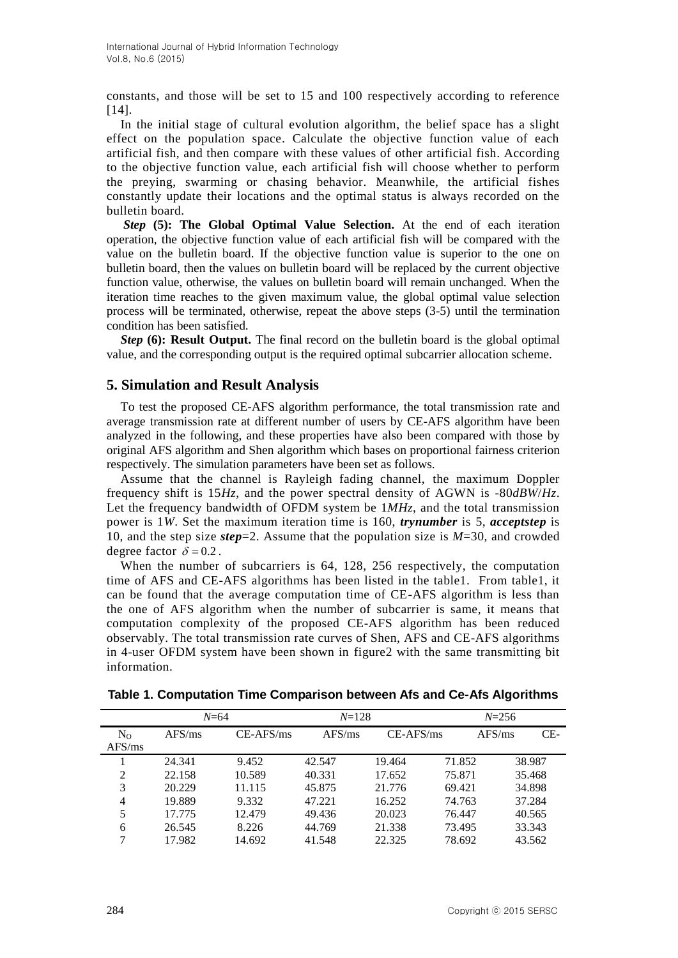constants, and those will be set to 15 and 100 respectively according to reference [14].

In the initial stage of cultural evolution algorithm, the belief space has a slight effect on the population space. Calculate the objective function value of each artificial fish, and then compare with these values of other artificial fish. According to the objective function value, each artificial fish will choose whether to perform the preying, swarming or chasing behavior. Meanwhile, the artificial fishes constantly update their locations and the optimal status is always recorded on the bulletin board.

*Step* **(5): The Global Optimal Value Selection.** At the end of each iteration operation, the objective function value of each artificial fish will be compared with the value on the bulletin board. If the objective function value is superior to the one on bulletin board, then the values on bulletin board will be replaced by the current objective function value, otherwise, the values on bulletin board will remain unchanged. When the iteration time reaches to the given maximum value, the global optimal value selection process will be terminated, otherwise, repeat the above steps (3-5) until the termination condition has been satisfied.

*Step* **(6): Result Output.** The final record on the bulletin board is the global optimal value, and the corresponding output is the required optimal subcarrier allocation scheme.

# **5. Simulation and Result Analysis**

To test the proposed CE-AFS algorithm performance, the total transmission rate and average transmission rate at different number of users by CE-AFS algorithm have been analyzed in the following, and these properties have also been compared with those by original AFS algorithm and Shen algorithm which bases on proportional fairness criterion respectively. The simulation parameters have been set as follows.

Assume that the channel is Rayleigh fading channel, the maximum Doppler frequency shift is 15*Hz*, and the power spectral density of AGWN is -80*dBW*/*Hz*. Let the frequency bandwidth of OFDM system be  $1MHz$ , and the total transmission power is 1*W*. Set the maximum iteration time is 160, *trynumber* is 5, *acceptstep* is 10, and the step size *step*=2. Assume that the population size is *M*=30, and crowded degree factor  $\delta = 0.2$ .

When the number of subcarriers is 64, 128, 256 respectively, the computation time of AFS and CE-AFS algorithms has been listed in the table1. From table1, it can be found that the average computation time of CE-AFS algorithm is less than the one of AFS algorithm when the number of subcarrier is same, it means that computation complexity of the proposed CE-AFS algorithm has been reduced observably. The total transmission rate curves of Shen, AFS and CE-AFS algorithms in 4-user OFDM system have been shown in figure2 with the same transmitting bit information.

| $N=64$            |        |             | $N = 128$ |             | $N = 256$ |        |        |
|-------------------|--------|-------------|-----------|-------------|-----------|--------|--------|
| $N_{O}$<br>AFS/ms | AFS/ms | $CE-AFS/ms$ | AFS/ms    | $CE-AFS/ms$ |           | AFS/ms | $CE-$  |
|                   | 24.341 | 9.452       | 42.547    | 19.464      | 71.852    |        | 38.987 |
| 2                 | 22.158 | 10.589      | 40.331    | 17.652      | 75.871    |        | 35.468 |
| 3                 | 20.229 | 11.115      | 45.875    | 21.776      | 69.421    |        | 34.898 |
| 4                 | 19.889 | 9.332       | 47.221    | 16.252      | 74.763    |        | 37.284 |
| 5                 | 17.775 | 12.479      | 49.436    | 20.023      | 76.447    |        | 40.565 |
| 6                 | 26.545 | 8.226       | 44.769    | 21.338      | 73.495    |        | 33.343 |
| ⇁                 | 17.982 | 14.692      | 41.548    | 22.325      | 78.692    |        | 43.562 |

|  |  | Table 1. Computation Time Comparison between Afs and Ce-Afs Algorithms |  |  |  |  |
|--|--|------------------------------------------------------------------------|--|--|--|--|
|--|--|------------------------------------------------------------------------|--|--|--|--|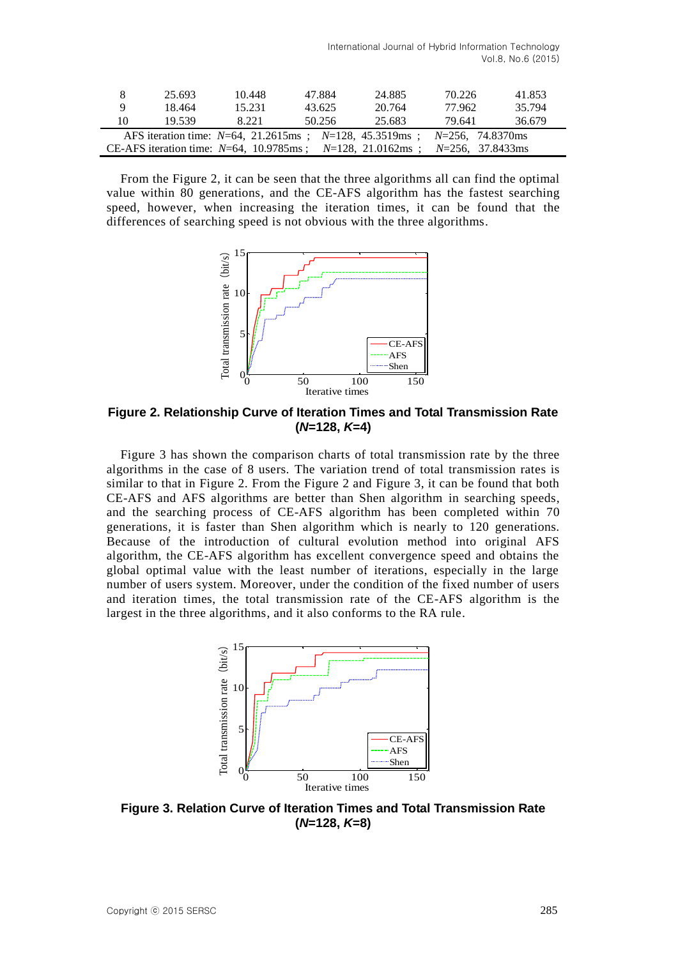|                                                                                        | 25.693 | 10.448 | 47.884 | 24.885 | 70.226 | 41.853 |
|----------------------------------------------------------------------------------------|--------|--------|--------|--------|--------|--------|
| Q                                                                                      | 18.464 | 15.231 | 43.625 | 20.764 | 77.962 | 35.794 |
| 10                                                                                     | 19.539 | 8.221  | 50.256 | 25.683 | 79.641 | 36.679 |
| AFS iteration time: $N=64$ , 21.2615ms ; $N=128$ , 45.3519ms ;<br>$N=256$ , 74.8370 ms |        |        |        |        |        |        |
| CE-AFS iteration time: $N=64$ , 10.9785ms; $N=128$ , 21.0162ms;<br>$N=256$ , 37.8433ms |        |        |        |        |        |        |

From the Figure 2, it can be seen that the three algorithms all can find the optimal value within 80 generations, and the CE-AFS algorithm has the fastest searching speed, however, when increasing the iteration times, it can be found that the differences of searching speed is not obvious with the three algorithms.



**Figure 2. Relationship Curve of Iteration Times and Total Transmission Rate (***N***=128,** *K***=4)**

Figure 3 has shown the comparison charts of total transmission rate by the three algorithms in the case of 8 users. The variation trend of total transmission rates is similar to that in Figure 2. From the Figure 2 and Figure 3, it can be found that both CE-AFS and AFS algorithms are better than Shen algorithm in searching speeds, and the searching process of CE-AFS algorithm has been completed within 70 generations, it is faster than Shen algorithm which is nearly to 120 generations. Because of the introduction of cultural evolution method into original AFS algorithm, the CE-AFS algorithm has excellent convergence speed and obtains the global optimal value with the least number of iterations, especially in the large number of users system. Moreover, under the condition of the fixed number of users and iteration times, the total transmission rate of the CE-AFS algorithm is the largest in the three algorithms, and it also conforms to the RA rule.



**Figure 3. Relation Curve of Iteration Times and Total Transmission Rate (***N***=128,** *K***=8)**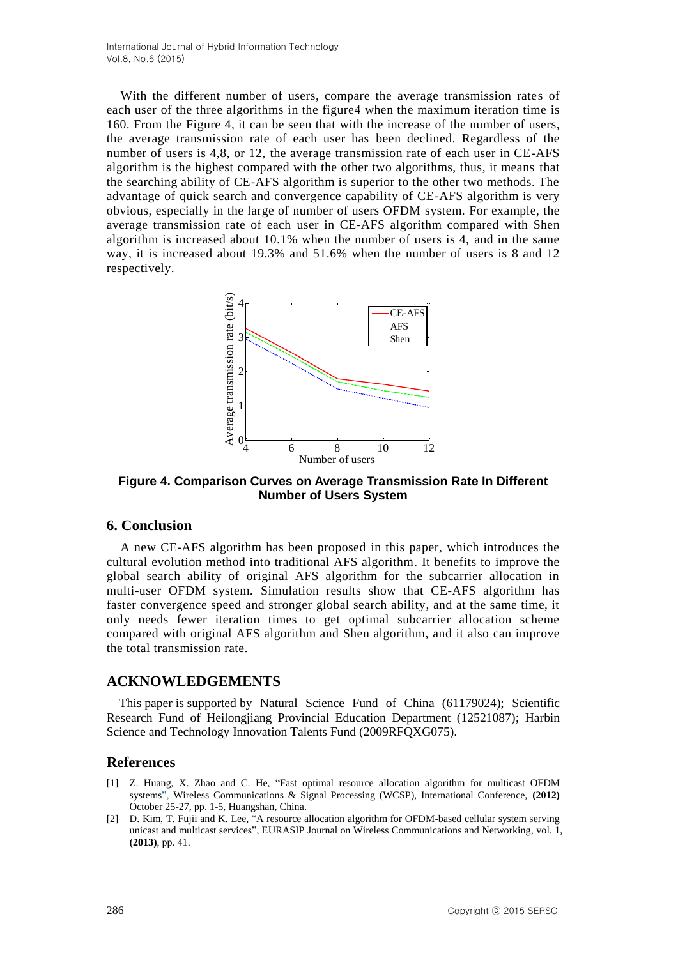With the different number of users, compare the average transmission rates of each user of the three algorithms in the figure4 when the maximum iteration time is 160. From the Figure 4, it can be seen that with the increase of the number of users, the average transmission rate of each user has been declined. Regardless of the number of users is 4,8, or 12, the average transmission rate of each user in CE-AFS algorithm is the highest compared with the other two algorithms, thus, it means that the searching ability of CE-AFS algorithm is superior to the other two methods. The advantage of quick search and convergence capability of CE-AFS algorithm is very obvious, especially in the large of number of users OFDM system. For example, the average transmission rate of each user in CE-AFS algorithm compared with Shen algorithm is increased about 10.1% when the number of users is 4, and in the same way, it is increased about 19.3% and 51.6% when the number of users is 8 and 12 respectively.



**Figure 4. Comparison Curves on Average Transmission Rate In Different Number of Users System**

# **6. Conclusion**

A new CE-AFS algorithm has been proposed in this paper, which introduces the cultural evolution method into traditional AFS algorithm. It benefits to improve the global search ability of original AFS algorithm for the subcarrier allocation in multi-user OFDM system. Simulation results show that CE-AFS algorithm has faster convergence speed and stronger global search ability, and at the same time, it only needs fewer iteration times to get optimal subcarrier allocation scheme compared with original AFS algorithm and Shen algorithm, and it also can improve the total transmission rate.

#### **ACKNOWLEDGEMENTS**

This paper is supported by Natural Science Fund of China (61179024); Scientific Research Fund of Heilongjiang Provincial Education Department (12521087); Harbin Science and Technology Innovation Talents Fund (2009RFQXG075).

#### **References**

- [1] Z. Huang, X. Zhao and C. He, "Fast optimal resource allocation algorithm for multicast OFDM systems", Wireless Communications & Signal Processing (WCSP), International Conference, **(2012)** October 25-27, pp. 1-5, Huangshan, China.
- [2] D. Kim, T. Fujii and K. Lee, "A resource allocation algorithm for OFDM-based cellular system serving unicast and multicast services", EURASIP Journal on Wireless Communications and Networking, vol. 1, **(2013)**, pp. 41.